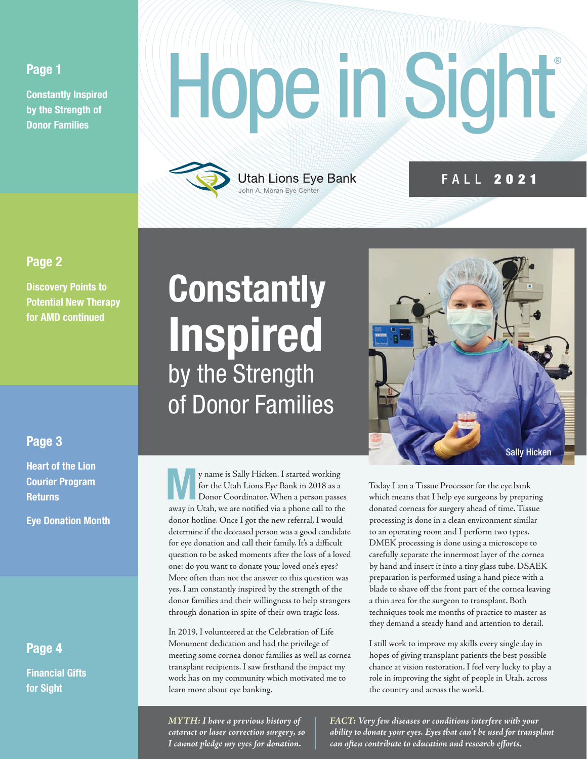#### Page 1

Constantly Inspired by the Strength of Donor Families

# Hope in Sight



#### FALL 2021

#### Page 2

Discovery Points to Potential New Therapy for AMD continued

#### Page 3

Heart of the Lion Courier Program **Returns** 

Eye Donation Month

#### Page 4

Financial Gifts for Sight

# **Constantly** Inspired by the Strength of Donor Families

**My name is Sally Hicken. I started working**<br>
for the Utah Lions Eye Bank in 2018 as a<br>
Donor Coordinator. When a person passes for the Utah Lions Eye Bank in 2018 as a away in Utah, we are notified via a phone call to the donor hotline. Once I got the new referral, I would determine if the deceased person was a good candidate for eye donation and call their family. It's a difficult question to be asked moments after the loss of a loved one: do you want to donate your loved one's eyes? More often than not the answer to this question was yes. I am constantly inspired by the strength of the donor families and their willingness to help strangers through donation in spite of their own tragic loss.

In 2019, I volunteered at the Celebration of Life Monument dedication and had the privilege of meeting some cornea donor families as well as cornea transplant recipients. I saw firsthand the impact my work has on my community which motivated me to learn more about eye banking.



Today I am a Tissue Processor for the eye bank which means that I help eye surgeons by preparing donated corneas for surgery ahead of time. Tissue processing is done in a clean environment similar to an operating room and I perform two types. DMEK processing is done using a microscope to carefully separate the innermost layer of the cornea by hand and insert it into a tiny glass tube. DSAEK preparation is performed using a hand piece with a blade to shave off the front part of the cornea leaving a thin area for the surgeon to transplant. Both techniques took me months of practice to master as they demand a steady hand and attention to detail.

I still work to improve my skills every single day in hopes of giving transplant patients the best possible chance at vision restoration. I feel very lucky to play a role in improving the sight of people in Utah, across the country and across the world.

*MYTH: I have a previous history of cataract or laser correction surgery, so I cannot pledge my eyes for donation.*

*FACT: Very few diseases or conditions interfere with your ability to donate your eyes. Eyes that can't be used for transplant can often contribute to education and research efforts.*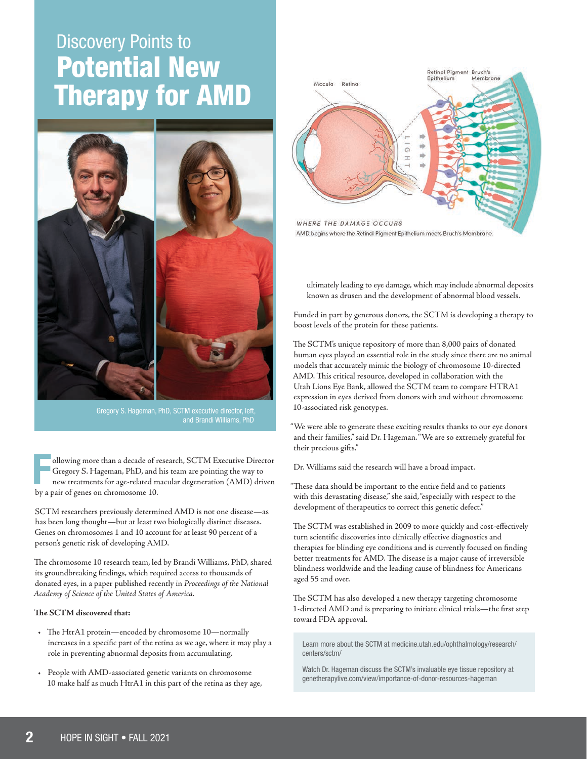## **Discovery Points to** Potential New Therapy for AMD



Gregory S. Hageman, PhD, SCTM executive director, left, and Brandi Williams, PhD

F<br>hvo ollowing more than a decade of research, SCTM Executive Director Gregory S. Hageman, PhD, and his team are pointing the way to new treatments for age-related macular degeneration (AMD) driven by a pair of genes on chromosome 10.

SCTM researchers previously determined AMD is not one disease—as has been long thought—but at least two biologically distinct diseases. Genes on chromosomes 1 and 10 account for at least 90 percent of a person's genetic risk of developing AMD.

The chromosome 10 research team, led by Brandi Williams, PhD, shared its groundbreaking findings, which required access to thousands of donated eyes, in a paper published recently in *Proceedings of the National Academy of Science of the United States of America.*

#### **The SCTM discovered that:**

- The HtrA1 protein—encoded by chromosome 10—normally increases in a specific part of the retina as we age, where it may play a role in preventing abnormal deposits from accumulating.
- People with AMD-associated genetic variants on chromosome 10 make half as much HtrA1 in this part of the retina as they age,



ultimately leading to eye damage, which may include abnormal deposits known as drusen and the development of abnormal blood vessels.

Funded in part by generous donors, the SCTM is developing a therapy to boost levels of the protein for these patients.

The SCTM's unique repository of more than 8,000 pairs of donated human eyes played an essential role in the study since there are no animal models that accurately mimic the biology of chromosome 10-directed AMD. This critical resource, developed in collaboration with the Utah Lions Eye Bank, allowed the SCTM team to compare HTRA1 expression in eyes derived from donors with and without chromosome 10-associated risk genotypes.

"We were able to generate these exciting results thanks to our eye donors and their families," said Dr. Hageman. "We are so extremely grateful for their precious gifts."

Dr. Williams said the research will have a broad impact.

"These data should be important to the entire field and to patients with this devastating disease," she said, "especially with respect to the development of therapeutics to correct this genetic defect."

The SCTM was established in 2009 to more quickly and cost-effectively turn scientific discoveries into clinically effective diagnostics and therapies for blinding eye conditions and is currently focused on finding better treatments for AMD. The disease is a major cause of irreversible blindness worldwide and the leading cause of blindness for Americans aged 55 and over.

The SCTM has also developed a new therapy targeting chromosome 1-directed AMD and is preparing to initiate clinical trials—the first step toward FDA approval.

Learn more about the SCTM at medicine.utah.edu/ophthalmology/research/ centers/sctm/

Watch Dr. Hageman discuss the SCTM's invaluable eye tissue repository at genetherapylive.com/view/importance-of-donor-resources-hageman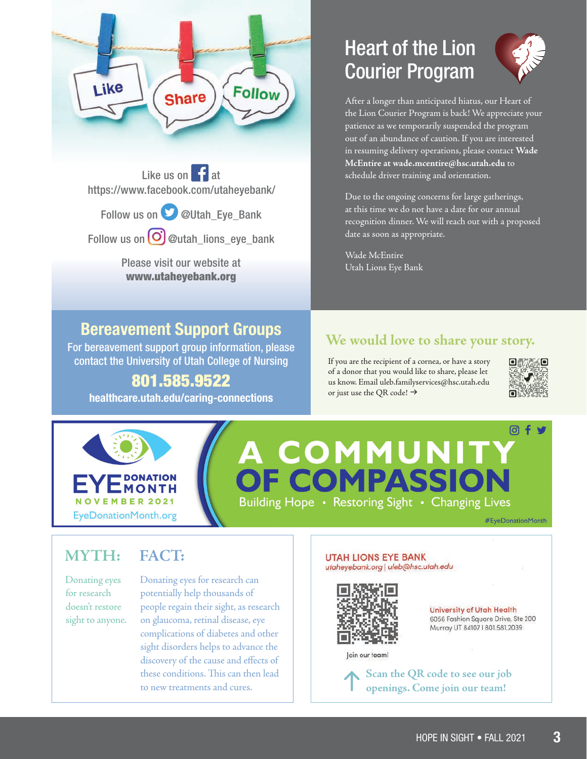

Like us on  $\left| \cdot \right|$  at https://www.facebook.com/utaheyebank/

Follow us on **D** @Utah\_Eye\_Bank

Follow us on  $\bigodot$  @utah\_lions\_eye\_bank

Please visit our website at www.utaheyebank.org

#### Bereavement Support Groups

For bereavement support group information, please contact the University of Utah College of Nursing

#### 801.585.9522

healthcare.utah.edu/caring-connections

### Heart of the Lion Courier Program



After a longer than anticipated hiatus, our Heart of the Lion Courier Program is back! We appreciate your patience as we temporarily suspended the program out of an abundance of caution. If you are interested in resuming delivery operations, please contact **Wade McEntire at wade.mcentire@hsc.utah.edu** to schedule driver training and orientation.

Due to the ongoing concerns for large gatherings, at this time we do not have a date for our annual recognition dinner. We will reach out with a proposed date as soon as appropriate.

Wade McEntire Utah Lions Eye Bank

#### **We would love to share your story.**

If you are the recipient of a cornea, or have a story of a donor that you would like to share, please let us know. Email uleb.familyservices@hsc.utah.edu or just use the QR code!  $\rightarrow$ 





# A COMMUNITY<br>OF COMPASSION

Building Hope • Restoring Sight • Changing Lives

#EyeDonationMonth

#### **MYTH:**

#### **FACT:**

Donating eyes for research doesn't restore sight to anyone. Donating eyes for research can potentially help thousands of people regain their sight, as research on glaucoma, retinal disease, eye complications of diabetes and other sight disorders helps to advance the discovery of the cause and effects of these conditions. This can then lead to new treatments and cures.

#### **UTAH LIONS EYE BANK** utaheyebank.org | uleb@hsc.utah.edu



University of Utah Health 6056 Fashion Square Drive, Ste 200 Murray UT 84107 | 801.581.2039

Join our team!

**Scan the QR code to see our job openings. Come join our team!**